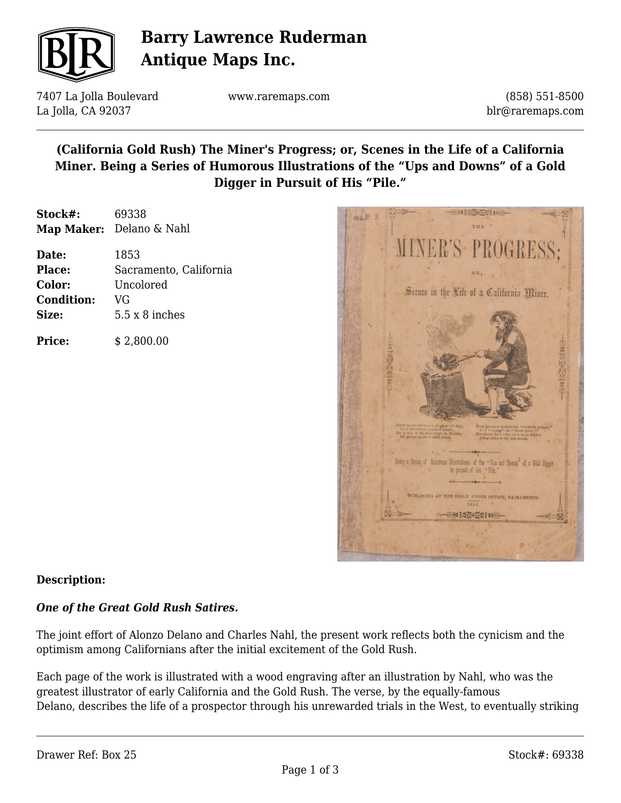

# **Barry Lawrence Ruderman Antique Maps Inc.**

7407 La Jolla Boulevard La Jolla, CA 92037

www.raremaps.com

(858) 551-8500 blr@raremaps.com

## **(California Gold Rush) The Miner's Progress; or, Scenes in the Life of a California Miner. Being a Series of Humorous Illustrations of the "Ups and Downs" of a Gold Digger in Pursuit of His "Pile."**

**Stock#:** 69338 **Map Maker:** Delano & Nahl

| Date:             | 1853                   |
|-------------------|------------------------|
| <b>Place:</b>     | Sacramento, California |
| Color:            | Uncolored              |
| <b>Condition:</b> | VG                     |
| Size:             | $5.5 \times 8$ inches  |
|                   |                        |

**Price:**  $$ 2,800.00$ 



### **Description:**

### *One of the Great Gold Rush Satires.*

The joint effort of Alonzo Delano and Charles Nahl, the present work reflects both the cynicism and the optimism among Californians after the initial excitement of the Gold Rush.

Each page of the work is illustrated with a wood engraving after an illustration by Nahl, who was the greatest illustrator of early California and the Gold Rush. The verse, by the equally-famous Delano, describes the life of a prospector through his unrewarded trials in the West, to eventually striking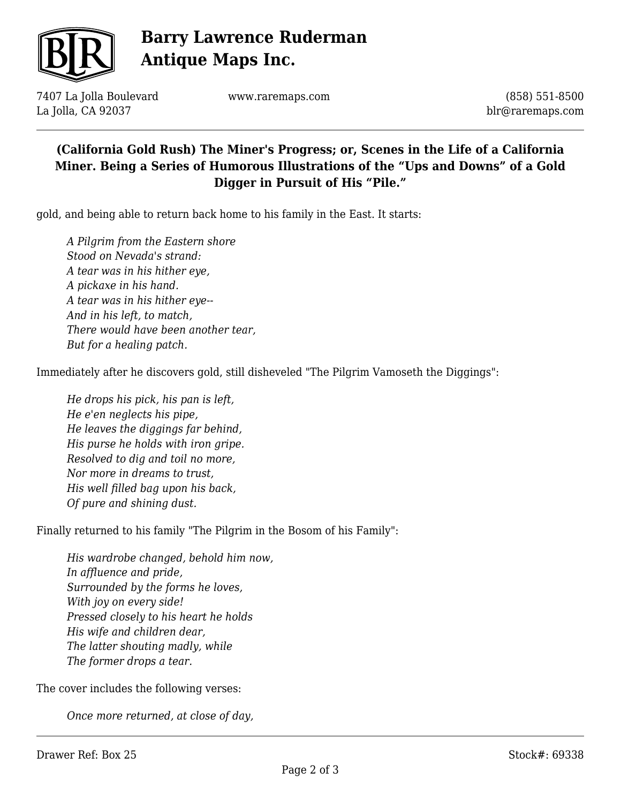

# **Barry Lawrence Ruderman Antique Maps Inc.**

7407 La Jolla Boulevard La Jolla, CA 92037

www.raremaps.com

(858) 551-8500 blr@raremaps.com

### **(California Gold Rush) The Miner's Progress; or, Scenes in the Life of a California Miner. Being a Series of Humorous Illustrations of the "Ups and Downs" of a Gold Digger in Pursuit of His "Pile."**

gold, and being able to return back home to his family in the East. It starts:

*A Pilgrim from the Eastern shore Stood on Nevada's strand: A tear was in his hither eye, A pickaxe in his hand. A tear was in his hither eye-- And in his left, to match, There would have been another tear, But for a healing patch.*

Immediately after he discovers gold, still disheveled "The Pilgrim Vamoseth the Diggings":

*He drops his pick, his pan is left, He e'en neglects his pipe, He leaves the diggings far behind, His purse he holds with iron gripe. Resolved to dig and toil no more, Nor more in dreams to trust, His well filled bag upon his back, Of pure and shining dust.*

Finally returned to his family "The Pilgrim in the Bosom of his Family":

*His wardrobe changed, behold him now, In affluence and pride, Surrounded by the forms he loves, With joy on every side! Pressed closely to his heart he holds His wife and children dear, The latter shouting madly, while The former drops a tear.*

The cover includes the following verses:

*Once more returned, at close of day,*